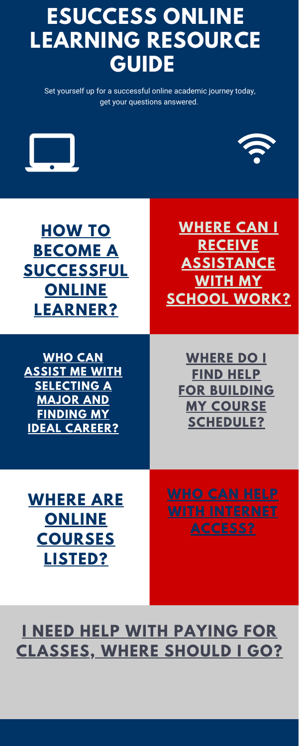Set yourself up for a successful online academic journey today, get your questions answered.



**WHO CAN ASSIST ME WITH [SELECTING](https://www.fau.edu/career/) A MAJOR AND FINDING MY IDEAL CAREER?**



**WHERE CAN I RECEIVE [ASSISTANCE](https://www.fau.edu/class/tutoring/tutor_listings.php) WITH MY SCHOOL WORK?**

**WHERE DO I FIND HELP FOR BUILDING MY COURSE [SCHEDULE?](https://www.fau.edu/advising/)**

### **WHERE ARE ONLINE [COURSES](https://www.fau.edu/registrar/courses/index.php) LISTED?**

#### **I NEED HELP WITH PAYING FOR [CLASSES,](https://www.fau.edu/finaid/) WHERE SHOULD I GO?**

## **ESUCCESS ONLINE LEARNING RESOURCE GUIDE**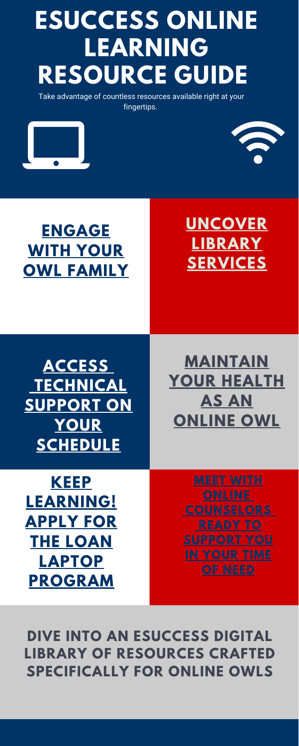Take advantage of countless resources available right at your fingertips.

**[ACCESS](https://helpdesk.fau.edu/TDClient/2061/Portal/Requests/ServiceCatalog?CategoryID=7101) [TECHNICAL](https://helpdesk.fau.edu/TDClient/2061/Portal/Requests/ServiceCatalog?CategoryID=7101) SUPPORT ON YOUR SCHEDULE**



### **[UNCOVER](https://library.fau.edu/) LIBRARY SERVICES**

**[MAINTAIN](https://www.fau.edu/owlscare/) YOUR HEALTH AS AN ONLINE OWL**



#### **DIVE INTO AN ESUCCESS DIGITAL** natural disaster. **LIBRARY OF RESOURCES CRAFTED SPECIFICALLY FOR ONLINE OWLS**

**KEEP [LEARNING!](https://library.fau.edu/technology-student-success) APPLY FOR THE LOAN LAPTOP PROGRAM**

With dirty water lines and sewers,

# **ESUCCESS ONLINE LEARNING RESOURCE GUIDE**